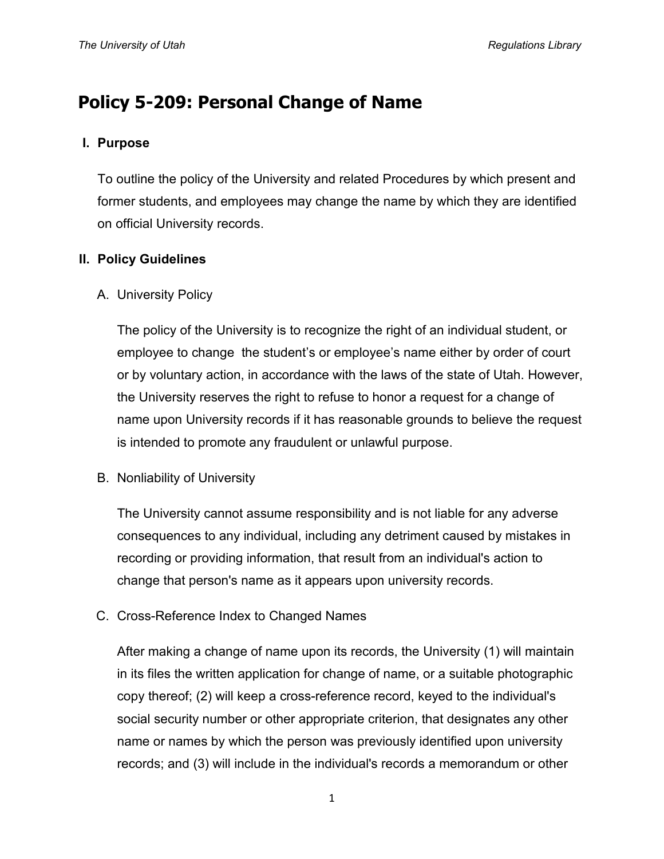# **Policy 5-209: Personal Change of Name**

## **I. Purpose**

To outline the policy of the University and related Procedures by which present and former students, and employees may change the name by which they are identified on official University records.

# **II. Policy Guidelines**

A. University Policy

The policy of the University is to recognize the right of an individual student, or employee to change the student's or employee's name either by order of court or by voluntary action, in accordance with the laws of the state of Utah. However, the University reserves the right to refuse to honor a request for a change of name upon University records if it has reasonable grounds to believe the request is intended to promote any fraudulent or unlawful purpose.

B. Nonliability of University

The University cannot assume responsibility and is not liable for any adverse consequences to any individual, including any detriment caused by mistakes in recording or providing information, that result from an individual's action to change that person's name as it appears upon university records.

C. Cross-Reference Index to Changed Names

After making a change of name upon its records, the University (1) will maintain in its files the written application for change of name, or a suitable photographic copy thereof; (2) will keep a cross-reference record, keyed to the individual's social security number or other appropriate criterion, that designates any other name or names by which the person was previously identified upon university records; and (3) will include in the individual's records a memorandum or other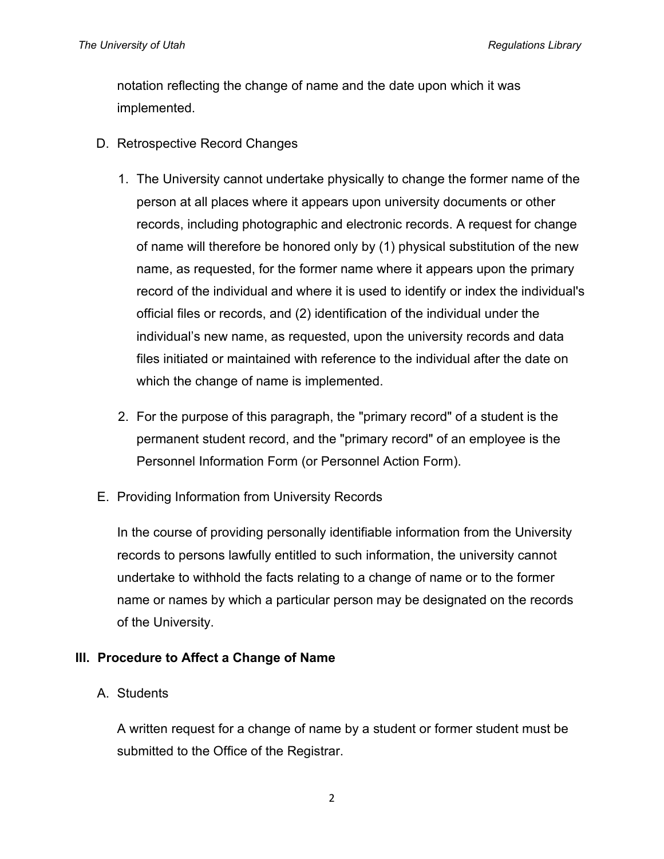notation reflecting the change of name and the date upon which it was implemented.

- D. Retrospective Record Changes
	- 1. The University cannot undertake physically to change the former name of the person at all places where it appears upon university documents or other records, including photographic and electronic records. A request for change of name will therefore be honored only by (1) physical substitution of the new name, as requested, for the former name where it appears upon the primary record of the individual and where it is used to identify or index the individual's official files or records, and (2) identification of the individual under the individual's new name, as requested, upon the university records and data files initiated or maintained with reference to the individual after the date on which the change of name is implemented.
	- 2. For the purpose of this paragraph, the "primary record" of a student is the permanent student record, and the "primary record" of an employee is the Personnel Information Form (or Personnel Action Form).
- E. Providing Information from University Records

In the course of providing personally identifiable information from the University records to persons lawfully entitled to such information, the university cannot undertake to withhold the facts relating to a change of name or to the former name or names by which a particular person may be designated on the records of the University.

# **III. Procedure to Affect a Change of Name**

#### A. Students

A written request for a change of name by a student or former student must be submitted to the Office of the Registrar.

2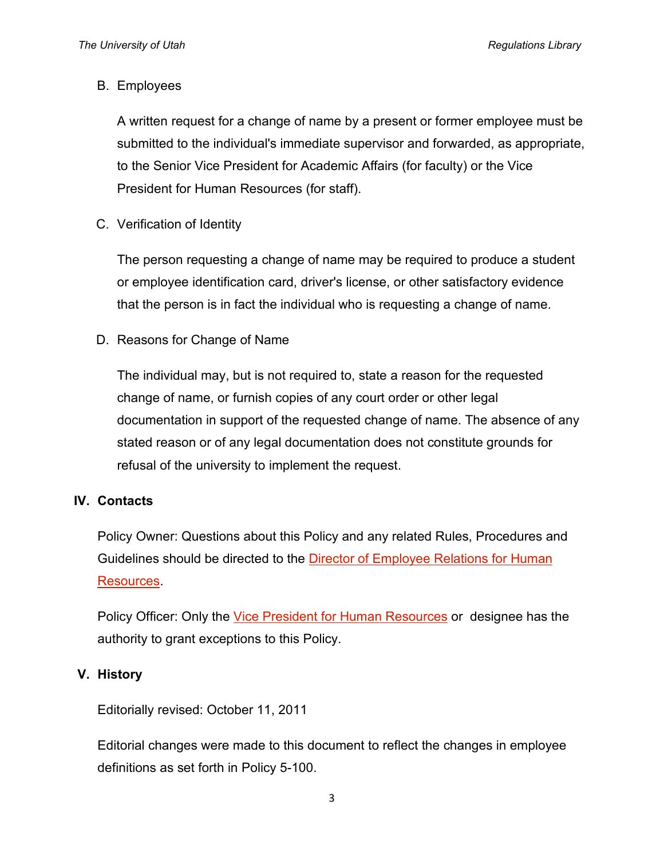## B. Employees

A written request for a change of name by a present or former employee must be submitted to the individual's immediate supervisor and forwarded, as appropriate, to the Senior Vice President for Academic Affairs (for faculty) or the Vice President for Human Resources (for staff).

C. Verification of Identity

The person requesting a change of name may be required to produce a student or employee identification card, driver's license, or other satisfactory evidence that the person is in fact the individual who is requesting a change of name.

D. Reasons for Change of Name

The individual may, but is not required to, state a reason for the requested change of name, or furnish copies of any court order or other legal documentation in support of the requested change of name. The absence of any stated reason or of any legal documentation does not constitute grounds for refusal of the university to implement the request.

# **IV. Contacts**

Policy Owner: Questions about this Policy and any related Rules, Procedures and Guidelines should be directed to the Director of Employee Relations for Human [Resources.](http://regulations.utah.edu/info/index.php)

Policy Officer: Only the [Vice President for Human Resources](http://regulations.utah.edu/info/index.php) or designee has the authority to grant exceptions to this Policy.

# **V. History**

Editorially revised: October 11, 2011

Editorial changes were made to this document to reflect the changes in employee definitions as set forth in Policy 5-100.